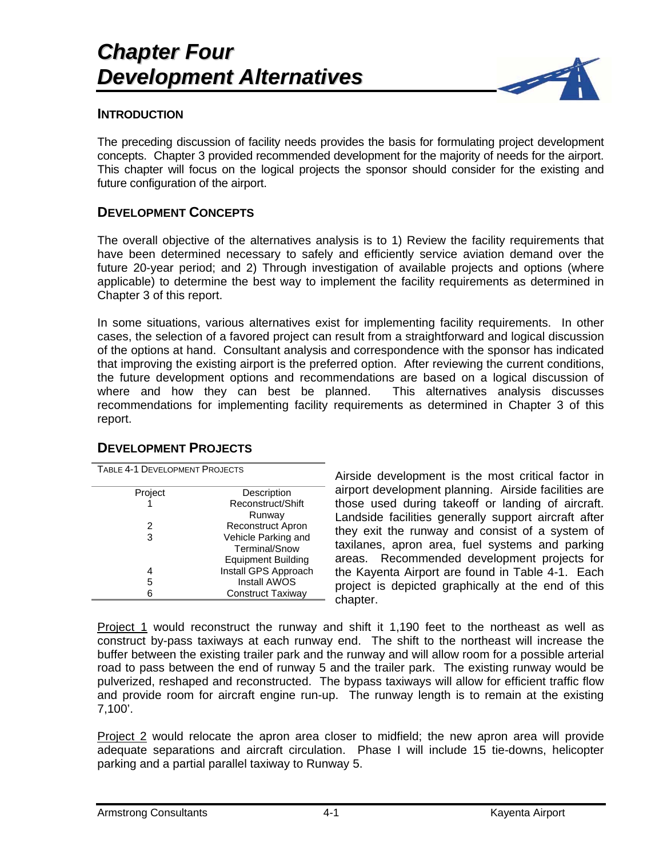

#### **INTRODUCTION**

The preceding discussion of facility needs provides the basis for formulating project development concepts. Chapter 3 provided recommended development for the majority of needs for the airport. This chapter will focus on the logical projects the sponsor should consider for the existing and future configuration of the airport.

### **DEVELOPMENT CONCEPTS**

The overall objective of the alternatives analysis is to 1) Review the facility requirements that have been determined necessary to safely and efficiently service aviation demand over the future 20-year period; and 2) Through investigation of available projects and options (where applicable) to determine the best way to implement the facility requirements as determined in Chapter 3 of this report.

In some situations, various alternatives exist for implementing facility requirements. In other cases, the selection of a favored project can result from a straightforward and logical discussion of the options at hand. Consultant analysis and correspondence with the sponsor has indicated that improving the existing airport is the preferred option. After reviewing the current conditions, the future development options and recommendations are based on a logical discussion of where and how they can best be planned. This alternatives analysis discusses recommendations for implementing facility requirements as determined in Chapter 3 of this report.

| TABLE 4-1 DEVELOPMENT PROJECTS |                           |  |
|--------------------------------|---------------------------|--|
| Project                        | Description               |  |
|                                | Reconstruct/Shift         |  |
|                                | Runway                    |  |
| 2                              | <b>Reconstruct Apron</b>  |  |
| 3                              | Vehicle Parking and       |  |
|                                | Terminal/Snow             |  |
|                                | <b>Equipment Building</b> |  |
|                                | Install GPS Approach      |  |
| 5                              | <b>Install AWOS</b>       |  |
|                                | Construct Taxiway         |  |

# **DEVELOPMENT PROJECTS**

Airside development is the most critical factor in airport development planning. Airside facilities are those used during takeoff or landing of aircraft. Landside facilities generally support aircraft after they exit the runway and consist of a system of taxilanes, apron area, fuel systems and parking areas. Recommended development projects for the Kayenta Airport are found in Table 4-1. Each project is depicted graphically at the end of this chapter.

Project 1 would reconstruct the runway and shift it 1,190 feet to the northeast as well as construct by-pass taxiways at each runway end. The shift to the northeast will increase the buffer between the existing trailer park and the runway and will allow room for a possible arterial road to pass between the end of runway 5 and the trailer park. The existing runway would be pulverized, reshaped and reconstructed. The bypass taxiways will allow for efficient traffic flow and provide room for aircraft engine run-up. The runway length is to remain at the existing 7,100'.

Project 2 would relocate the apron area closer to midfield; the new apron area will provide adequate separations and aircraft circulation. Phase I will include 15 tie-downs, helicopter parking and a partial parallel taxiway to Runway 5.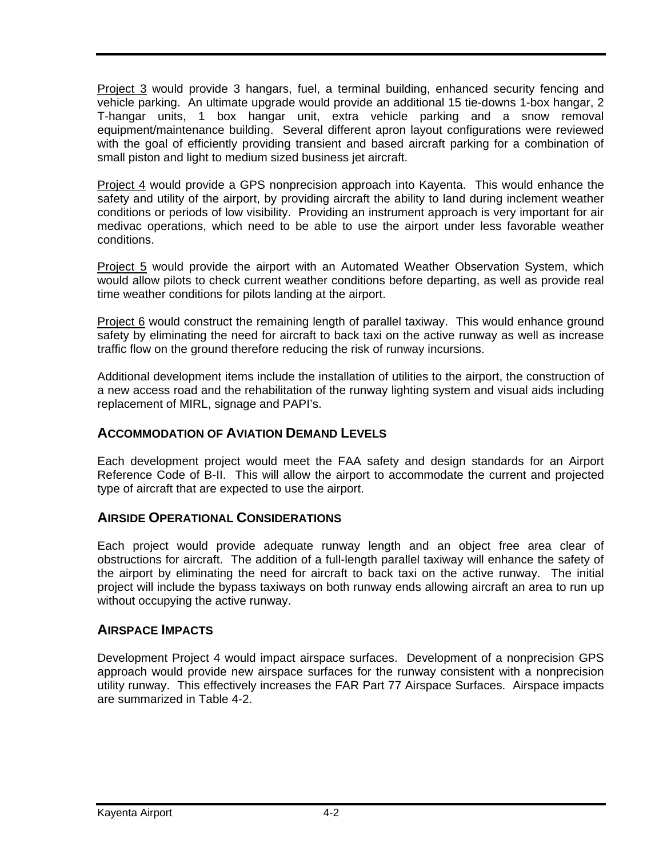Project 3 would provide 3 hangars, fuel, a terminal building, enhanced security fencing and vehicle parking. An ultimate upgrade would provide an additional 15 tie-downs 1-box hangar, 2 T-hangar units, 1 box hangar unit, extra vehicle parking and a snow removal equipment/maintenance building. Several different apron layout configurations were reviewed with the goal of efficiently providing transient and based aircraft parking for a combination of small piston and light to medium sized business jet aircraft.

Project 4 would provide a GPS nonprecision approach into Kayenta. This would enhance the safety and utility of the airport, by providing aircraft the ability to land during inclement weather conditions or periods of low visibility. Providing an instrument approach is very important for air medivac operations, which need to be able to use the airport under less favorable weather conditions.

Project 5 would provide the airport with an Automated Weather Observation System, which would allow pilots to check current weather conditions before departing, as well as provide real time weather conditions for pilots landing at the airport.

Project 6 would construct the remaining length of parallel taxiway. This would enhance ground safety by eliminating the need for aircraft to back taxi on the active runway as well as increase traffic flow on the ground therefore reducing the risk of runway incursions.

Additional development items include the installation of utilities to the airport, the construction of a new access road and the rehabilitation of the runway lighting system and visual aids including replacement of MIRL, signage and PAPI's.

## **ACCOMMODATION OF AVIATION DEMAND LEVELS**

Each development project would meet the FAA safety and design standards for an Airport Reference Code of B-II. This will allow the airport to accommodate the current and projected type of aircraft that are expected to use the airport.

### **AIRSIDE OPERATIONAL CONSIDERATIONS**

Each project would provide adequate runway length and an object free area clear of obstructions for aircraft. The addition of a full-length parallel taxiway will enhance the safety of the airport by eliminating the need for aircraft to back taxi on the active runway. The initial project will include the bypass taxiways on both runway ends allowing aircraft an area to run up without occupying the active runway.

### **AIRSPACE IMPACTS**

Development Project 4 would impact airspace surfaces. Development of a nonprecision GPS approach would provide new airspace surfaces for the runway consistent with a nonprecision utility runway. This effectively increases the FAR Part 77 Airspace Surfaces. Airspace impacts are summarized in Table 4-2.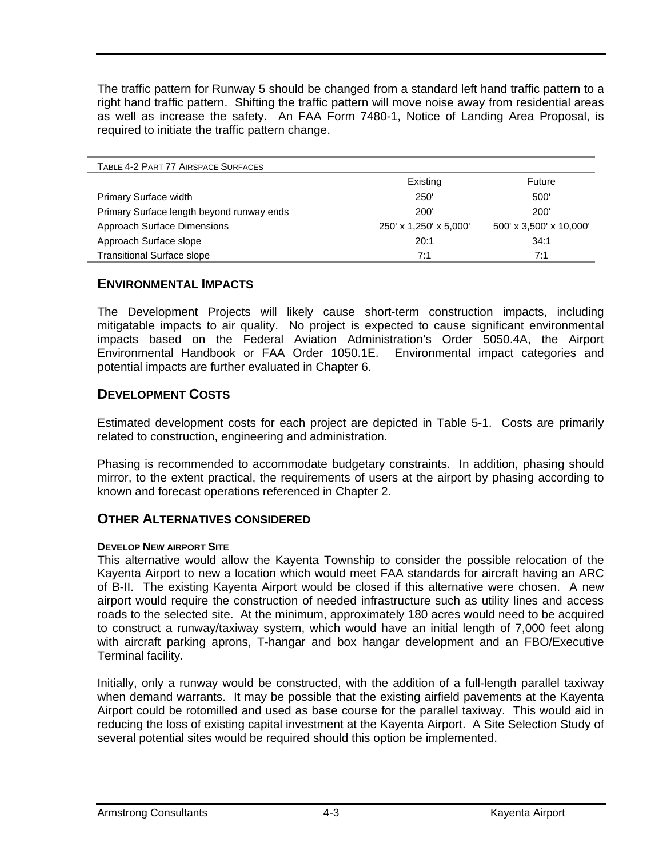The traffic pattern for Runway 5 should be changed from a standard left hand traffic pattern to a right hand traffic pattern. Shifting the traffic pattern will move noise away from residential areas as well as increase the safety. An FAA Form 7480-1, Notice of Landing Area Proposal, is required to initiate the traffic pattern change.

| TABLE 4-2 PART 77 AIRSPACE SURFACES       |                        |                         |
|-------------------------------------------|------------------------|-------------------------|
|                                           | Existing               | Future                  |
| <b>Primary Surface width</b>              | 250                    | 500'                    |
| Primary Surface length beyond runway ends | <b>200</b>             | <b>200</b>              |
| Approach Surface Dimensions               | 250' x 1,250' x 5,000' | 500' x 3,500' x 10,000' |
| Approach Surface slope                    | 20:1                   | 34:1                    |
| <b>Transitional Surface slope</b>         | 7:1                    | 7:1                     |

#### **ENVIRONMENTAL IMPACTS**

The Development Projects will likely cause short-term construction impacts, including mitigatable impacts to air quality. No project is expected to cause significant environmental impacts based on the Federal Aviation Administration's Order 5050.4A, the Airport Environmental Handbook or FAA Order 1050.1E. Environmental impact categories and potential impacts are further evaluated in Chapter 6.

### **DEVELOPMENT COSTS**

Estimated development costs for each project are depicted in Table 5-1. Costs are primarily related to construction, engineering and administration.

Phasing is recommended to accommodate budgetary constraints. In addition, phasing should mirror, to the extent practical, the requirements of users at the airport by phasing according to known and forecast operations referenced in Chapter 2.

## **OTHER ALTERNATIVES CONSIDERED**

#### **DEVELOP NEW AIRPORT SITE**

This alternative would allow the Kayenta Township to consider the possible relocation of the Kayenta Airport to new a location which would meet FAA standards for aircraft having an ARC of B-II. The existing Kayenta Airport would be closed if this alternative were chosen. A new airport would require the construction of needed infrastructure such as utility lines and access roads to the selected site. At the minimum, approximately 180 acres would need to be acquired to construct a runway/taxiway system, which would have an initial length of 7,000 feet along with aircraft parking aprons, T-hangar and box hangar development and an FBO/Executive Terminal facility.

Initially, only a runway would be constructed, with the addition of a full-length parallel taxiway when demand warrants. It may be possible that the existing airfield pavements at the Kayenta Airport could be rotomilled and used as base course for the parallel taxiway. This would aid in reducing the loss of existing capital investment at the Kayenta Airport. A Site Selection Study of several potential sites would be required should this option be implemented.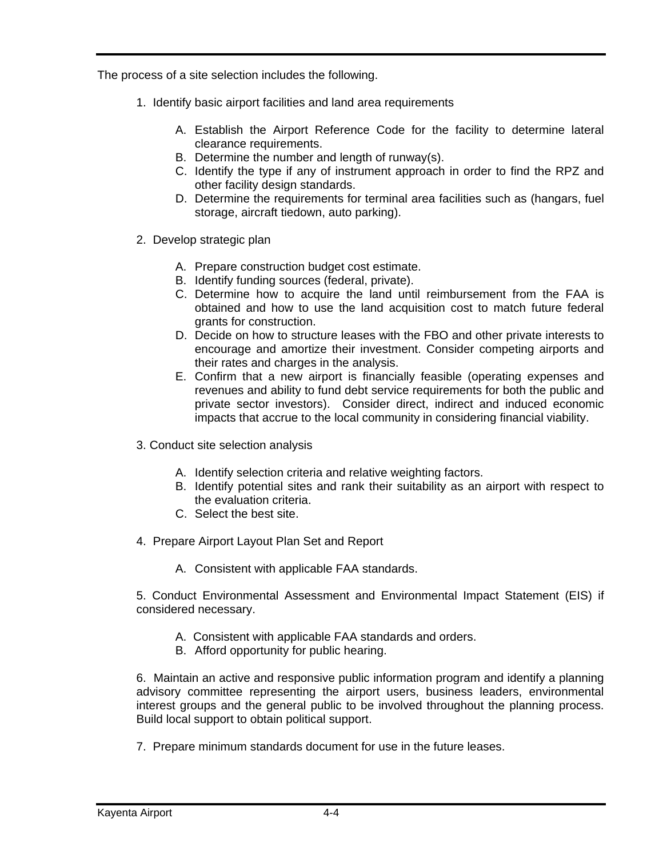The process of a site selection includes the following.

- 1. Identify basic airport facilities and land area requirements
	- A. Establish the Airport Reference Code for the facility to determine lateral clearance requirements.
	- B. Determine the number and length of runway(s).
	- C. Identify the type if any of instrument approach in order to find the RPZ and other facility design standards.
	- D. Determine the requirements for terminal area facilities such as (hangars, fuel storage, aircraft tiedown, auto parking).
- 2. Develop strategic plan
	- A. Prepare construction budget cost estimate.
	- B. Identify funding sources (federal, private).
	- C. Determine how to acquire the land until reimbursement from the FAA is obtained and how to use the land acquisition cost to match future federal grants for construction.
	- D. Decide on how to structure leases with the FBO and other private interests to encourage and amortize their investment. Consider competing airports and their rates and charges in the analysis.
	- E. Confirm that a new airport is financially feasible (operating expenses and revenues and ability to fund debt service requirements for both the public and private sector investors). Consider direct, indirect and induced economic impacts that accrue to the local community in considering financial viability.
- 3. Conduct site selection analysis
	- A. Identify selection criteria and relative weighting factors.
	- B. Identify potential sites and rank their suitability as an airport with respect to the evaluation criteria.
	- C. Select the best site.
- 4. Prepare Airport Layout Plan Set and Report
	- A. Consistent with applicable FAA standards.

5. Conduct Environmental Assessment and Environmental Impact Statement (EIS) if considered necessary.

- A. Consistent with applicable FAA standards and orders.
- B. Afford opportunity for public hearing.

6. Maintain an active and responsive public information program and identify a planning advisory committee representing the airport users, business leaders, environmental interest groups and the general public to be involved throughout the planning process. Build local support to obtain political support.

7. Prepare minimum standards document for use in the future leases.